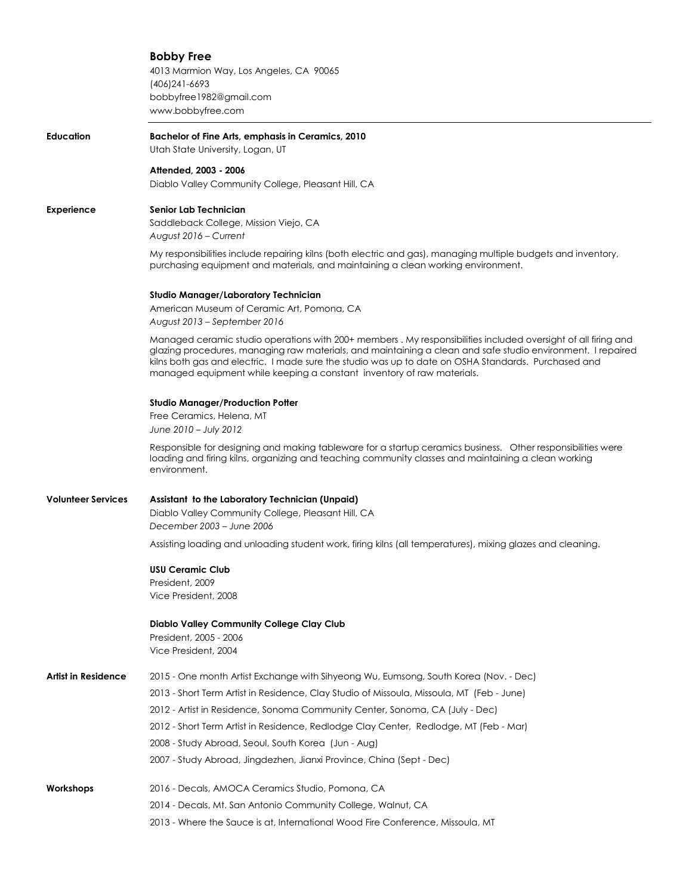# **Bobby Free**

4013 Marmion Way, Los Angeles, CA 90065 (406)241-6693 bobbyfree1982@gmail.com www.bobbyfree.com

**Education Bachelor of Fine Arts, emphasis in Ceramics, 2010**  Utah State University, Logan, UT

**Attended, 2003 - 2006** 

Diablo Valley Community College, Pleasant Hill, CA

# **Experience Senior Lab Technician**

Saddleback College, Mission Viejo, CA *August 2016 – Current* 

My responsibilities include repairing kilns (both electric and gas), managing multiple budgets and inventory, purchasing equipment and materials, and maintaining a clean working environment.

### **Studio Manager/Laboratory Technician**

American Museum of Ceramic Art, Pomona, CA *August 2013 – September 2016* 

Managed ceramic studio operations with 200+ members . My responsibilities included oversight of all firing and glazing procedures, managing raw materials, and maintaining a clean and safe studio environment. I repaired kilns both gas and electric. I made sure the studio was up to date on OSHA Standards. Purchased and managed equipment while keeping a constant inventory of raw materials.

#### **Studio Manager/Production Potter**

Free Ceramics, Helena, MT *June 2010 – July 2012* 

Responsible for designing and making tableware for a startup ceramics business. Other responsibilities were loading and firing kilns, organizing and teaching community classes and maintaining a clean working environment.

# **Volunteer Services Assistant to the Laboratory Technician (Unpaid)**

Diablo Valley Community College, Pleasant Hill, CA *December 2003 – June 2006* 

Assisting loading and unloading student work, firing kilns (all temperatures), mixing glazes and cleaning.

## **USU Ceramic Club**

President, 2009 Vice President, 2008

## **Diablo Valley Community College Clay Club**

President, 2005 - 2006 Vice President, 2004

| Artist in Residence | 2015 - One month Artist Exchange with Sihyeong Wu, Eumsong, South Korea (Nov. - Dec)      |
|---------------------|-------------------------------------------------------------------------------------------|
|                     | 2013 - Short Term Artist in Residence, Clay Studio of Missoula, Missoula, MT (Feb - June) |
|                     | 2012 - Artist in Residence, Sonoma Community Center, Sonoma, CA (July - Dec)              |
|                     | 2012 - Short Term Artist in Residence, Redlodge Clay Center, Redlodge, MT (Feb - Mar)     |
|                     | 2008 - Study Abroad, Seoul, South Korea (Jun - Aug)                                       |
|                     | 2007 - Study Abroad, Jingdezhen, Jianxi Province, China (Sept - Dec)                      |
| Workshops           | 2016 - Decals, AMOCA Ceramics Studio, Pomona, CA                                          |
|                     | 2014 - Decals, Mt. San Antonio Community College, Walnut, CA                              |
|                     | 2013 - Where the Sauce is at, International Wood Fire Conference, Missoula, MT            |